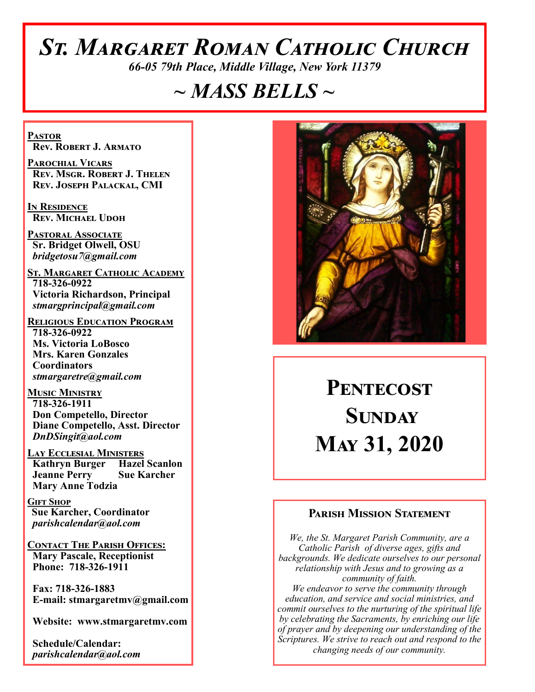# *St. Margaret Roman Catholic Church*

*66-05 79th Place, Middle Village, New York 11379*

## *~ MASS BELLS ~*

**Pastor Rev. Robert J. Armato**

**Parochial Vicars Rev. Msgr. Robert J. Thelen Rev. Joseph Palackal, CMI**

**In Residence Rev. Michael Udoh**

**Pastoral Associate Sr. Bridget Olwell, OSU**  *bridgetosu7@gmail.com*

**St. Margaret Catholic Academy 718-326-0922 Victoria Richardson, Principal**  *stmargprincipal@gmail.com*

**Religious Education Program 718-326-0922 Ms. Victoria LoBosco Mrs. Karen Gonzales Coordinators** *stmargaretre@gmail.com*

**Music Ministry 718-326-1911 Don Competello, Director Diane Competello, Asst. Director** *DnDSingit@aol.com*

**LAY ECCLESIAL MINISTERS<br>
Kathryn Burger Hazel Scanlon Kathryn Burger Jeanne Perry Sue Karcher Mary Anne Todzia**

**Gift Shop Sue Karcher, Coordinator** *parishcalendar@aol.com*

**Contact The Parish Offices: Mary Pascale, Receptionist Phone: 718-326-1911** 

 **Fax: 718-326-1883 E-mail: stmargaretmv@gmail.com**

 **Website: www.stmargaretmv.com**

 **Schedule/Calendar:** *parishcalendar@aol.com* 



# PENTECOST **Sunday May 31, 2020**

## **Parish Mission Statement**

*We, the St. Margaret Parish Community, are a Catholic Parish of diverse ages, gifts and backgrounds. We dedicate ourselves to our personal relationship with Jesus and to growing as a community of faith. We endeavor to serve the community through education, and service and social ministries, and commit ourselves to the nurturing of the spiritual life by celebrating the Sacraments, by enriching our life of prayer and by deepening our understanding of the Scriptures. We strive to reach out and respond to the changing needs of our community.*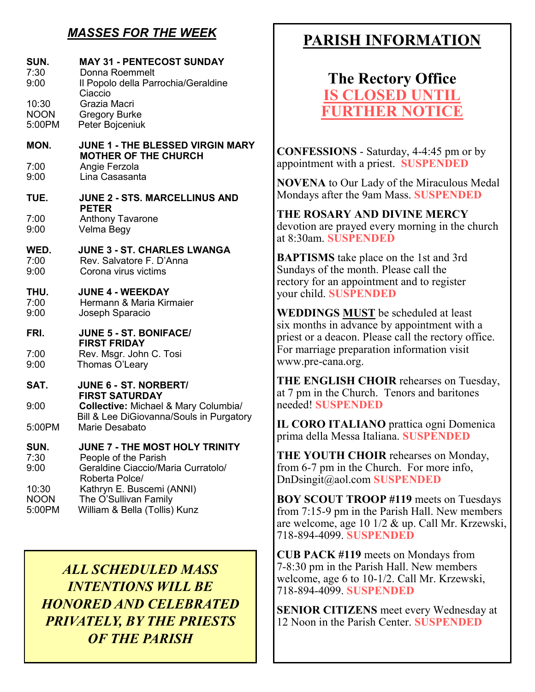## *MASSES FOR THE WEEK*

#### **SUN. MAY 31 - PENTECOST SUNDAY**  7:30 Donna Roemmelt 9:00 Il Popolo della Parrochia/Geraldine Ciaccio 10:30 Grazia Macri NOON Gregory Burke 5:00PM Peter Bojceniuk **MON. JUNE 1 - THE BLESSED VIRGIN MARY MOTHER OF THE CHURCH**<br>7:00 Angie Ferzola 7:00 Angie Ferzola Lina Casasanta **TUE. JUNE 2 - STS. MARCELLINUS AND PETER**<br>T:00 Anthony 7:00 Anthony Tavarone Velma Begy **WED. JUNE 3 - ST. CHARLES LWANGA** 7:00 Rev. Salvatore F. D'Anna 9:00 Corona virus victims **THU. JUNE 4 - WEEKDAY**  7:00 Hermann & Maria Kirmaier 9:00 Joseph Sparacio **FRI. JUNE 5 - ST. BONIFACE/ FIRST FRIDAY**  7:00 Rev. Msgr. John C. Tosi 9:00 Thomas O'Leary **SAT. JUNE 6 - ST. NORBERT/ FIRST SATURDAY** 9:00 **Collective:** Michael & Mary Columbia/ Bill & Lee DiGiovanna/Souls in Purgatory 5:00PM Marie Desabato **SUN. JUNE 7 - THE MOST HOLY TRINITY**<br>7:30 **People of the Parish** 7:30 People of the Parish<br>9:00 Geraldine Ciaccio/Ma 9:00 Geraldine Ciaccio/Maria Curratolo/ Roberta Polce/<br>10:30 Kathryn F Buse 10:30 Kathryn E. Buscemi (ANNI)<br>NOON The O'Sullivan Family NOON The O'Sullivan Family<br>5:00PM William & Bella (Tollis) William & Bella (Tollis) Kunz

*ALL SCHEDULED MASS INTENTIONS WILL BE HONORED AND CELEBRATED PRIVATELY, BY THE PRIESTS OF THE PARISH*

## **PARISH INFORMATION**

## **The Rectory Office IS CLOSED UNTIL FURTHER**

**CONFESSIONS** - Saturday, 4-4:45 pm or by appointment with a priest. **SUSPENDED**

**NOVENA** to Our Lady of the Miraculous Medal Mondays after the 9am Mass. **SUSPENDED**

**THE ROSARY AND DIVINE MERCY** devotion are prayed every morning in the church at 8:30am. **SUSPENDED**

**BAPTISMS** take place on the 1st and 3rd Sundays of the month. Please call the rectory for an appointment and to register your child. **SUSPENDED**

**WEDDINGS MUST** be scheduled at least six months in advance by appointment with a priest or a deacon. Please call the rectory office. For marriage preparation information visit www.pre-cana.org.

**THE ENGLISH CHOIR** rehearses on Tuesday, at 7 pm in the Church. Tenors and baritones needed! **SUSPENDED**

**IL CORO ITALIANO** prattica ogni Domenica prima della Messa Italiana. **SUSPENDED**

**THE YOUTH CHOIR** rehearses on Monday, from 6-7 pm in the Church. For more info, DnDsingit@aol.com **SUSPENDED**

**BOY SCOUT TROOP #119** meets on Tuesdays from 7:15-9 pm in the Parish Hall. New members are welcome, age 10 1/2 & up. Call Mr. Krzewski, 718-894-4099. **SUSPENDED**

**CUB PACK #119** meets on Mondays from 7-8:30 pm in the Parish Hall. New members welcome, age 6 to 10-1/2. Call Mr. Krzewski, 718-894-4099. **SUSPENDED**

**SENIOR CITIZENS** meet every Wednesday at 12 Noon in the Parish Center. **SUSPENDED**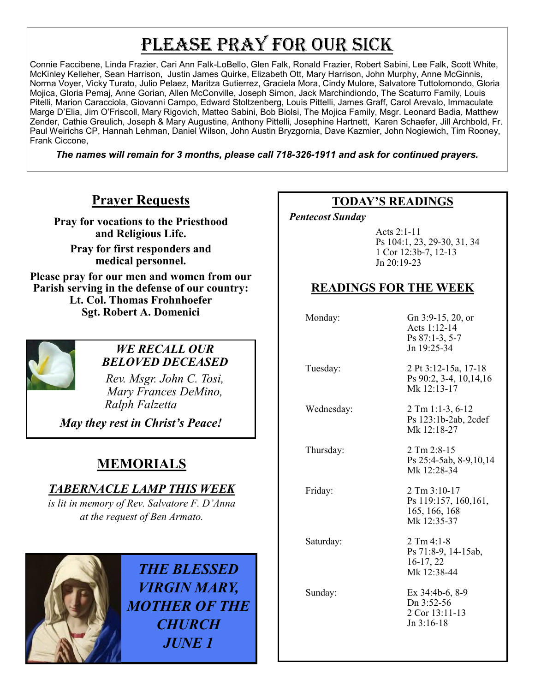# PLEASE PRAY FOR OUR SICK

Connie Faccibene, Linda Frazier, Cari Ann Falk-LoBello, Glen Falk, Ronald Frazier, Robert Sabini, Lee Falk, Scott White, McKinley Kelleher, Sean Harrison, Justin James Quirke, Elizabeth Ott, Mary Harrison, John Murphy, Anne McGinnis, Norma Voyer, Vicky Turato, Julio Pelaez, Maritza Gutierrez, Graciela Mora, Cindy Mulore, Salvatore Tuttolomondo, Gloria Mojica, Gloria Pemaj, Anne Gorian, Allen McConville, Joseph Simon, Jack Marchindiondo, The Scaturro Family, Louis Pitelli, Marion Caracciola, Giovanni Campo, Edward Stoltzenberg, Louis Pittelli, James Graff, Carol Arevalo, Immaculate Marge D'Elia, Jim O'Friscoll, Mary Rigovich, Matteo Sabini, Bob Biolsi, The Mojica Family, Msgr. Leonard Badia, Matthew Zender, Cathie Greulich, Joseph & Mary Augustine, Anthony Pittelli, Josephine Hartnett, Karen Schaefer, Jill Archbold, Fr. Paul Weirichs CP, Hannah Lehman, Daniel Wilson, John Austin Bryzgornia, Dave Kazmier, John Nogiewich, Tim Rooney, Frank Ciccone,

*The names will remain for 3 months, please call 718-326-1911 and ask for continued prayers.*

## **Prayer Requests**

**Pray for vocations to the Priesthood and Religious Life.** 

**Pray for first responders and medical personnel.**

**Please pray for our men and women from our Parish serving in the defense of our country: Lt. Col. Thomas Frohnhoefer Sgt. Robert A. Domenici** 



#### *WE RECALL OUR BELOVED DECEASED*

*Rev. Msgr. John C. Tosi, Mary Frances DeMino, Ralph Falzetta* 

*May they rest in Christ's Peace!*

## **MEMORIALS**

## *TABERNACLE LAMP THIS WEEK*

*is lit in memory of Rev. Salvatore F. D'Anna*  at the request of Ben Armato.



*THE BLESSED VIRGIN MARY, MOTHER OF THE CHURCH JUNE 1*

## **TODAY'S READINGS**

 *Pentecost Sunday* 

Acts 2:1-11 Ps 104:1, 23, 29-30, 31, 34 1 Cor 12:3b-7, 12-13 Jn 20:19-23

## **READINGS FOR THE WEEK**

 Monday: Gn 3:9-15, 20, or Acts 1:12-14 Ps 87:1-3, 5-7 Jn 19:25-34 Tuesday: 2 Pt 3:12-15a, 17-18 Ps 90:2, 3-4, 10,14,16 Mk 12:13-17 Wednesday: 2 Tm 1:1-3, 6-12 Ps 123:1b-2ab, 2cdef Mk 12:18-27 Thursday: 2 Tm 2:8-15 Ps 25:4-5ab, 8-9,10,14 Mk 12:28-34 Friday: 2 Tm 3:10-17 Ps 119:157, 160,161, 165, 166, 168 Mk 12:35-37 Saturday: 2 Tm 4:1-8 Ps 71:8-9, 14-15ab, 16-17, 22 Mk 12:38-44 Sunday: Ex 34:4b-6, 8-9 Dn 3:52-56 2 Cor 13:11-13 Jn 3:16-18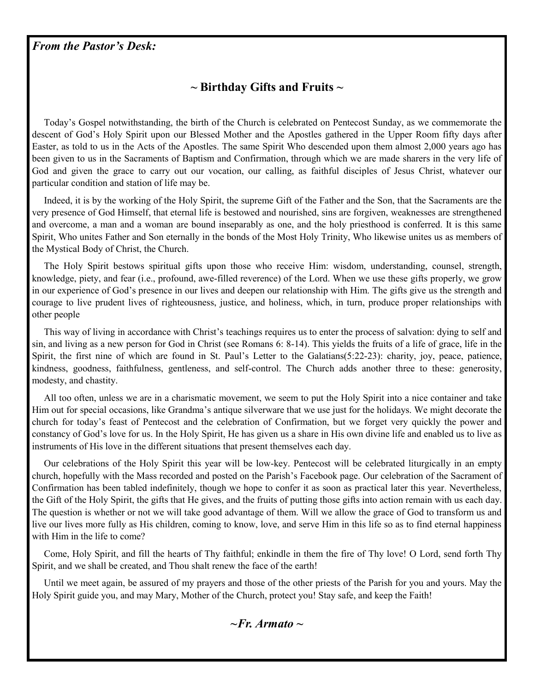#### *From the Pastor's Desk:*

## **~ Birthday Gifts and Fruits ~**

 Today's Gospel notwithstanding, the birth of the Church is celebrated on Pentecost Sunday, as we commemorate the descent of God's Holy Spirit upon our Blessed Mother and the Apostles gathered in the Upper Room fifty days after Easter, as told to us in the Acts of the Apostles. The same Spirit Who descended upon them almost 2,000 years ago has been given to us in the Sacraments of Baptism and Confirmation, through which we are made sharers in the very life of God and given the grace to carry out our vocation, our calling, as faithful disciples of Jesus Christ, whatever our particular condition and station of life may be.

 Indeed, it is by the working of the Holy Spirit, the supreme Gift of the Father and the Son, that the Sacraments are the very presence of God Himself, that eternal life is bestowed and nourished, sins are forgiven, weaknesses are strengthened and overcome, a man and a woman are bound inseparably as one, and the holy priesthood is conferred. It is this same Spirit, Who unites Father and Son eternally in the bonds of the Most Holy Trinity, Who likewise unites us as members of the Mystical Body of Christ, the Church.

 The Holy Spirit bestows spiritual gifts upon those who receive Him: wisdom, understanding, counsel, strength, knowledge, piety, and fear (i.e., profound, awe-filled reverence) of the Lord. When we use these gifts properly, we grow in our experience of God's presence in our lives and deepen our relationship with Him. The gifts give us the strength and courage to live prudent lives of righteousness, justice, and holiness, which, in turn, produce proper relationships with other people

 This way of living in accordance with Christ's teachings requires us to enter the process of salvation: dying to self and sin, and living as a new person for God in Christ (see Romans 6: 8-14). This yields the fruits of a life of grace, life in the Spirit, the first nine of which are found in St. Paul's Letter to the Galatians(5:22-23): charity, joy, peace, patience, kindness, goodness, faithfulness, gentleness, and self-control. The Church adds another three to these: generosity, modesty, and chastity.

 All too often, unless we are in a charismatic movement, we seem to put the Holy Spirit into a nice container and take Him out for special occasions, like Grandma's antique silverware that we use just for the holidays. We might decorate the church for today's feast of Pentecost and the celebration of Confirmation, but we forget very quickly the power and constancy of God's love for us. In the Holy Spirit, He has given us a share in His own divine life and enabled us to live as instruments of His love in the different situations that present themselves each day.

 Our celebrations of the Holy Spirit this year will be low-key. Pentecost will be celebrated liturgically in an empty church, hopefully with the Mass recorded and posted on the Parish's Facebook page. Our celebration of the Sacrament of Confirmation has been tabled indefinitely, though we hope to confer it as soon as practical later this year. Nevertheless, the Gift of the Holy Spirit, the gifts that He gives, and the fruits of putting those gifts into action remain with us each day. The question is whether or not we will take good advantage of them. Will we allow the grace of God to transform us and live our lives more fully as His children, coming to know, love, and serve Him in this life so as to find eternal happiness with Him in the life to come?

 Come, Holy Spirit, and fill the hearts of Thy faithful; enkindle in them the fire of Thy love! O Lord, send forth Thy Spirit, and we shall be created, and Thou shalt renew the face of the earth!

 Until we meet again, be assured of my prayers and those of the other priests of the Parish for you and yours. May the Holy Spirit guide you, and may Mary, Mother of the Church, protect you! Stay safe, and keep the Faith!

*~Fr. Armato ~*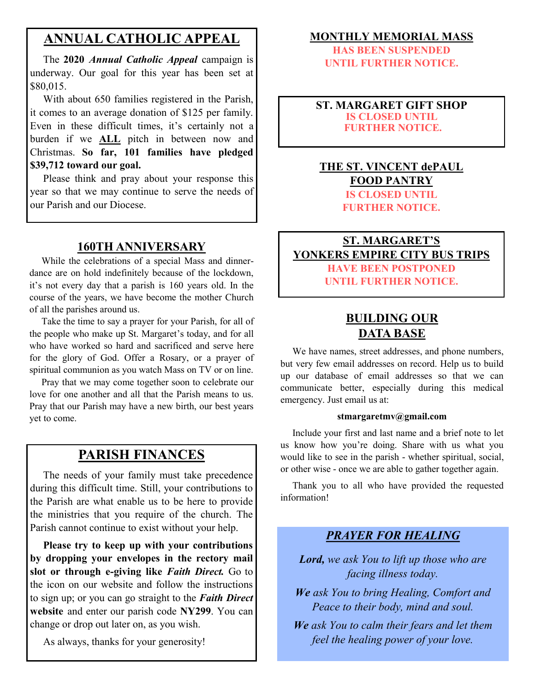## **ANNUAL CATHOLIC APPEAL**

 The **2020** *Annual Catholic Appeal* campaign is underway. Our goal for this year has been set at \$80,015.

 With about 650 families registered in the Parish, it comes to an average donation of \$125 per family. Even in these difficult times, it's certainly not a burden if we **ALL** pitch in between now and Christmas. **So far, 101 families have pledged \$39,712 toward our goal.**

 Please think and pray about your response this year so that we may continue to serve the needs of our Parish and our Diocese.

### **160TH ANNIVERSARY**

 While the celebrations of a special Mass and dinnerdance are on hold indefinitely because of the lockdown, it's not every day that a parish is 160 years old. In the course of the years, we have become the mother Church of all the parishes around us.

 Take the time to say a prayer for your Parish, for all of the people who make up St. Margaret's today, and for all who have worked so hard and sacrificed and serve here for the glory of God. Offer a Rosary, or a prayer of spiritual communion as you watch Mass on TV or on line.

 Pray that we may come together soon to celebrate our love for one another and all that the Parish means to us. Pray that our Parish may have a new birth, our best years yet to come.

## **PARISH FINANCES**

 The needs of your family must take precedence during this difficult time. Still, your contributions to the Parish are what enable us to be here to provide the ministries that you require of the church. The Parish cannot continue to exist without your help.

 **Please try to keep up with your contributions by dropping your envelopes in the rectory mail slot or through e-giving like** *Faith Direct.* Go to the icon on our website and follow the instructions to sign up; or you can go straight to the *Faith Direct*  **website** and enter our parish code **NY299**. You can change or drop out later on, as you wish.

As always, thanks for your generosity!

#### **MONTHLY MEMORIAL MASS**

**HAS BEEN SUSPENDED UNTIL FURTHER NOTICE.** 

#### **ST. MARGARET GIFT SHOP IS CLOSED UNTIL FURTHER NOTICE.**

#### **THE ST. VINCENT dePAUL FOOD PANTRY IS CLOSED UNTIL FURTHER NOTICE.**

## **ST. MARGARET'S YONKERS EMPIRE CITY BUS TRIPS HAVE BEEN POSTPONED UNTIL FURTHER NOTICE.**

## **BUILDING OUR DATA BASE**

 We have names, street addresses, and phone numbers, but very few email addresses on record. Help us to build up our database of email addresses so that we can communicate better, especially during this medical emergency. Just email us at:

#### **stmargaretmv@gmail.com**

 Include your first and last name and a brief note to let us know how you're doing. Share with us what you would like to see in the parish - whether spiritual, social, or other wise - once we are able to gather together again.

 Thank you to all who have provided the requested information!

#### *PRAYER FOR HEALING*

*Lord, we ask You to lift up those who are facing illness today.*

*We ask You to bring Healing, Comfort and Peace to their body, mind and soul.*

*We ask You to calm their fears and let them feel the healing power of your love.*